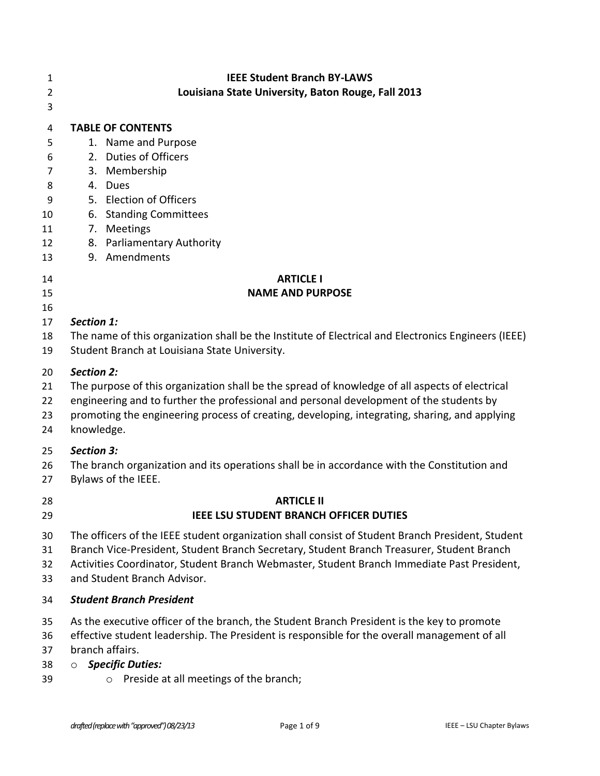| 1<br>$\overline{2}$<br>3                           | <b>IEEE Student Branch BY-LAWS</b><br>Louisiana State University, Baton Rouge, Fall 2013                                                                                                                                                                                                                 |
|----------------------------------------------------|----------------------------------------------------------------------------------------------------------------------------------------------------------------------------------------------------------------------------------------------------------------------------------------------------------|
| 4<br>5<br>6<br>7<br>8<br>9<br>10<br>11<br>12<br>13 | <b>TABLE OF CONTENTS</b><br>1. Name and Purpose<br><b>Duties of Officers</b><br>2.<br>Membership<br>3.<br>4.<br>Dues<br>5. Election of Officers<br>6. Standing Committees<br>7. Meetings<br>8. Parliamentary Authority<br>9. Amendments                                                                  |
| 14                                                 | <b>ARTICLE I</b>                                                                                                                                                                                                                                                                                         |
| 15                                                 | <b>NAME AND PURPOSE</b>                                                                                                                                                                                                                                                                                  |
| 16<br>17<br>18<br>19                               | Section 1:<br>The name of this organization shall be the Institute of Electrical and Electronics Engineers (IEEE)<br>Student Branch at Louisiana State University.                                                                                                                                       |
| 20                                                 | <b>Section 2:</b>                                                                                                                                                                                                                                                                                        |
| 21                                                 | The purpose of this organization shall be the spread of knowledge of all aspects of electrical                                                                                                                                                                                                           |
| 22                                                 | engineering and to further the professional and personal development of the students by                                                                                                                                                                                                                  |
| 23                                                 | promoting the engineering process of creating, developing, integrating, sharing, and applying                                                                                                                                                                                                            |
| 24                                                 | knowledge.                                                                                                                                                                                                                                                                                               |
| 25                                                 | <b>Section 3:</b>                                                                                                                                                                                                                                                                                        |
| 26                                                 | The branch organization and its operations shall be in accordance with the Constitution and                                                                                                                                                                                                              |
| 27                                                 | Bylaws of the IEEE.                                                                                                                                                                                                                                                                                      |
| 28                                                 | <b>ARTICLE II</b>                                                                                                                                                                                                                                                                                        |
| 29                                                 | <b>IEEE LSU STUDENT BRANCH OFFICER DUTIES</b>                                                                                                                                                                                                                                                            |
| 30                                                 | The officers of the IEEE student organization shall consist of Student Branch President, Student                                                                                                                                                                                                         |
| 31                                                 | Branch Vice-President, Student Branch Secretary, Student Branch Treasurer, Student Branch                                                                                                                                                                                                                |
| 32                                                 | Activities Coordinator, Student Branch Webmaster, Student Branch Immediate Past President,                                                                                                                                                                                                               |
| 33                                                 | and Student Branch Advisor.                                                                                                                                                                                                                                                                              |
| 34                                                 | <b>Student Branch President</b>                                                                                                                                                                                                                                                                          |
| 35<br>36<br>37<br>38<br>39                         | As the executive officer of the branch, the Student Branch President is the key to promote<br>effective student leadership. The President is responsible for the overall management of all<br>branch affairs.<br><b>Specific Duties:</b><br>$\circ$<br>Preside at all meetings of the branch;<br>$\circ$ |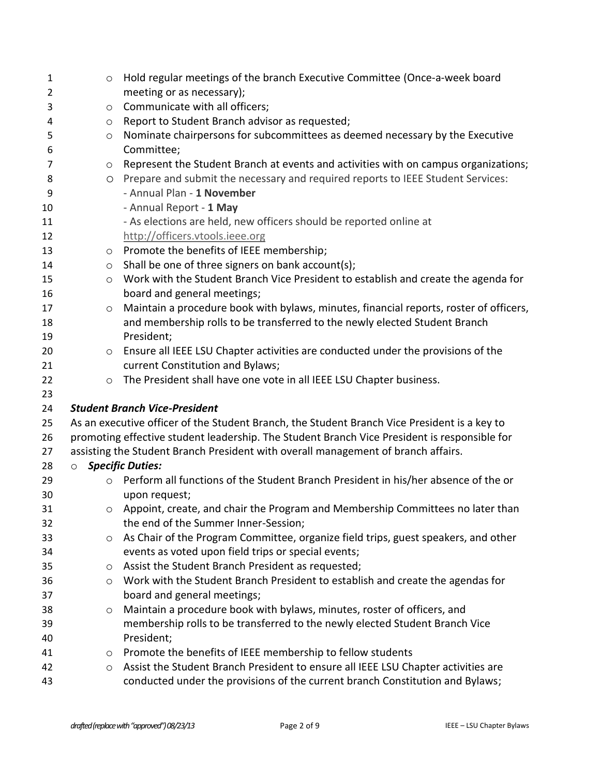| $\mathbf{1}$   | $\circ$ | Hold regular meetings of the branch Executive Committee (Once-a-week board                   |
|----------------|---------|----------------------------------------------------------------------------------------------|
| $\overline{2}$ |         | meeting or as necessary);                                                                    |
| 3              | $\circ$ | Communicate with all officers;                                                               |
| 4              | $\circ$ | Report to Student Branch advisor as requested;                                               |
| 5              | $\circ$ | Nominate chairpersons for subcommittees as deemed necessary by the Executive                 |
| 6              |         | Committee;                                                                                   |
| 7              | $\circ$ | Represent the Student Branch at events and activities with on campus organizations;          |
| 8              | $\circ$ | Prepare and submit the necessary and required reports to IEEE Student Services:              |
| 9              |         | - Annual Plan - 1 November                                                                   |
| 10             |         | - Annual Report - 1 May                                                                      |
| 11             |         | - As elections are held, new officers should be reported online at                           |
| 12             |         | http://officers.vtools.ieee.org                                                              |
| 13             | $\circ$ | Promote the benefits of IEEE membership;                                                     |
| 14             | $\circ$ | Shall be one of three signers on bank account(s);                                            |
| 15             | $\circ$ | Work with the Student Branch Vice President to establish and create the agenda for           |
| 16             |         | board and general meetings;                                                                  |
| 17             | $\circ$ | Maintain a procedure book with bylaws, minutes, financial reports, roster of officers,       |
| 18             |         | and membership rolls to be transferred to the newly elected Student Branch                   |
| 19             |         | President;                                                                                   |
| 20             | $\circ$ | Ensure all IEEE LSU Chapter activities are conducted under the provisions of the             |
| 21             |         | current Constitution and Bylaws;                                                             |
| 22             | $\circ$ | The President shall have one vote in all IEEE LSU Chapter business.                          |
| 23             |         |                                                                                              |
| 24             |         | <b>Student Branch Vice-President</b>                                                         |
| 25             |         | As an executive officer of the Student Branch, the Student Branch Vice President is a key to |
| 26             |         | promoting effective student leadership. The Student Branch Vice President is responsible for |
| 27             |         | assisting the Student Branch President with overall management of branch affairs.            |
| 28             | $\circ$ | <b>Specific Duties:</b>                                                                      |
| 29             | $\circ$ | Perform all functions of the Student Branch President in his/her absence of the or           |
| 30             |         | upon request;                                                                                |
| 31             |         | $\circ$ Appoint, create, and chair the Program and Membership Committees no later than       |
| 32             |         | the end of the Summer Inner-Session;                                                         |
| 33             | O       | As Chair of the Program Committee, organize field trips, guest speakers, and other           |
| 34             |         | events as voted upon field trips or special events;                                          |
| 35             | O       | Assist the Student Branch President as requested;                                            |
| 36             | $\circ$ | Work with the Student Branch President to establish and create the agendas for               |
| 37             |         | board and general meetings;                                                                  |
| 38             | $\circ$ | Maintain a procedure book with bylaws, minutes, roster of officers, and                      |
| 39             |         | membership rolls to be transferred to the newly elected Student Branch Vice                  |
| 40             |         | President;                                                                                   |
| 41             | O       | Promote the benefits of IEEE membership to fellow students                                   |
| 42             | O       | Assist the Student Branch President to ensure all IEEE LSU Chapter activities are            |
| 43             |         | conducted under the provisions of the current branch Constitution and Bylaws;                |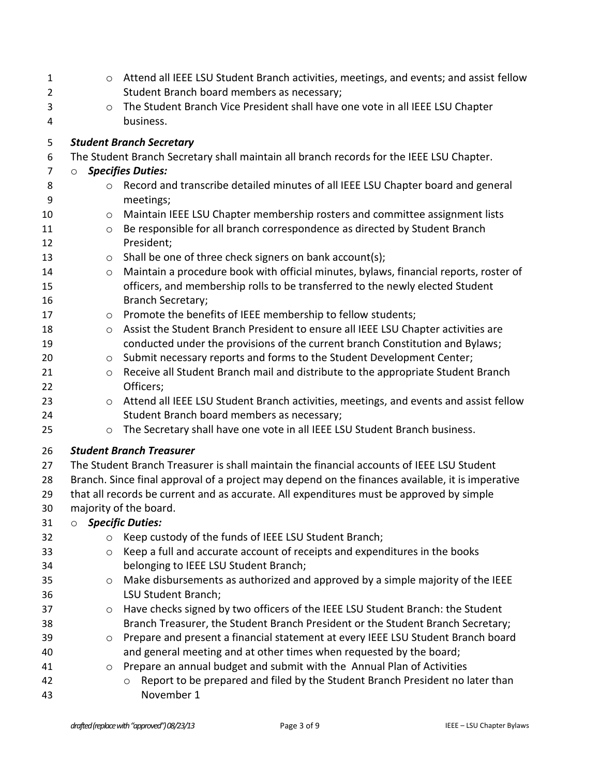| 1              | $\circ$ | Attend all IEEE LSU Student Branch activities, meetings, and events; and assist fellow           |
|----------------|---------|--------------------------------------------------------------------------------------------------|
| 2              |         | Student Branch board members as necessary;                                                       |
| 3              | $\circ$ | The Student Branch Vice President shall have one vote in all IEEE LSU Chapter                    |
| 4              |         | business.                                                                                        |
| 5              |         | <b>Student Branch Secretary</b>                                                                  |
| 6              |         | The Student Branch Secretary shall maintain all branch records for the IEEE LSU Chapter.         |
| $\overline{7}$ | $\circ$ | <b>Specifies Duties:</b>                                                                         |
| 8<br>9         | $\circ$ | Record and transcribe detailed minutes of all IEEE LSU Chapter board and general<br>meetings;    |
| 10             | $\circ$ | Maintain IEEE LSU Chapter membership rosters and committee assignment lists                      |
| 11             | $\circ$ | Be responsible for all branch correspondence as directed by Student Branch                       |
| 12             |         | President;                                                                                       |
| 13             | $\circ$ | Shall be one of three check signers on bank account(s);                                          |
| 14             | $\circ$ | Maintain a procedure book with official minutes, bylaws, financial reports, roster of            |
| 15             |         | officers, and membership rolls to be transferred to the newly elected Student                    |
| 16             |         | <b>Branch Secretary;</b>                                                                         |
| 17             | $\circ$ | Promote the benefits of IEEE membership to fellow students;                                      |
| 18             | $\circ$ | Assist the Student Branch President to ensure all IEEE LSU Chapter activities are                |
| 19             |         | conducted under the provisions of the current branch Constitution and Bylaws;                    |
| 20             | $\circ$ | Submit necessary reports and forms to the Student Development Center;                            |
| 21             | $\circ$ | Receive all Student Branch mail and distribute to the appropriate Student Branch                 |
| 22             |         | Officers;                                                                                        |
| 23             | $\circ$ | Attend all IEEE LSU Student Branch activities, meetings, and events and assist fellow            |
| 24             |         | Student Branch board members as necessary;                                                       |
| 25             | $\circ$ | The Secretary shall have one vote in all IEEE LSU Student Branch business.                       |
| 26             |         | <b>Student Branch Treasurer</b>                                                                  |
| 27             |         | The Student Branch Treasurer is shall maintain the financial accounts of IEEE LSU Student        |
| 28             |         | Branch. Since final approval of a project may depend on the finances available, it is imperative |
| 29             |         | that all records be current and as accurate. All expenditures must be approved by simple         |
| 30             |         | majority of the board.                                                                           |
| 31             | $\circ$ | <b>Specific Duties:</b>                                                                          |
| 32             | $\circ$ | Keep custody of the funds of IEEE LSU Student Branch;                                            |
| 33             | $\circ$ | Keep a full and accurate account of receipts and expenditures in the books                       |
| 34             |         | belonging to IEEE LSU Student Branch;                                                            |
| 35             | $\circ$ | Make disbursements as authorized and approved by a simple majority of the IEEE                   |
| 36             |         | LSU Student Branch;                                                                              |
| 37             | $\circ$ | Have checks signed by two officers of the IEEE LSU Student Branch: the Student                   |
| 38             |         | Branch Treasurer, the Student Branch President or the Student Branch Secretary;                  |
| 39             | $\circ$ | Prepare and present a financial statement at every IEEE LSU Student Branch board                 |
| 40             |         | and general meeting and at other times when requested by the board;                              |
| 41             | $\circ$ | Prepare an annual budget and submit with the Annual Plan of Activities                           |
| 42             |         | Report to be prepared and filed by the Student Branch President no later than                    |
| 43             |         | November 1                                                                                       |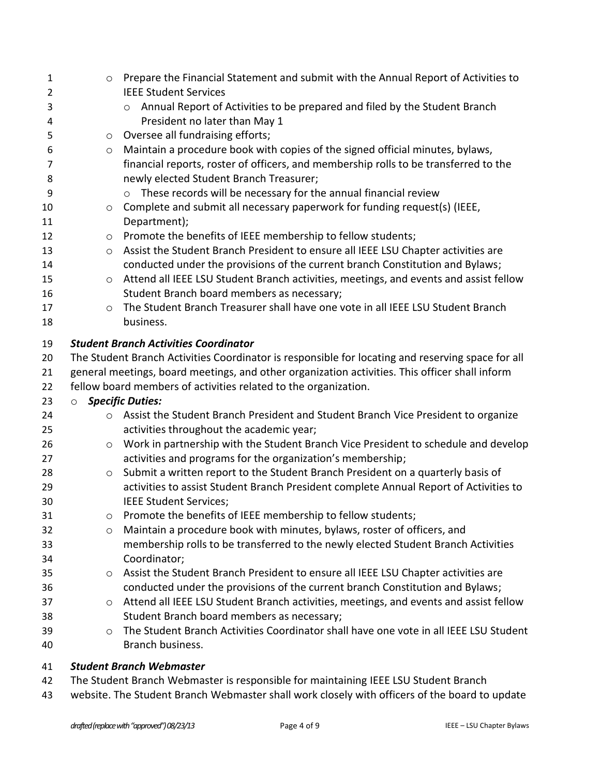| $\mathbf{1}$   | $\circ$ | Prepare the Financial Statement and submit with the Annual Report of Activities to                        |
|----------------|---------|-----------------------------------------------------------------------------------------------------------|
| $\overline{2}$ |         | <b>IEEE Student Services</b>                                                                              |
| 3              |         | Annual Report of Activities to be prepared and filed by the Student Branch<br>$\circ$                     |
| 4              |         | President no later than May 1                                                                             |
| 5              | $\circ$ | Oversee all fundraising efforts;                                                                          |
| 6              | $\circ$ | Maintain a procedure book with copies of the signed official minutes, bylaws,                             |
| 7              |         | financial reports, roster of officers, and membership rolls to be transferred to the                      |
| 8              |         | newly elected Student Branch Treasurer;                                                                   |
| 9              |         | o These records will be necessary for the annual financial review                                         |
| 10             | $\circ$ | Complete and submit all necessary paperwork for funding request(s) (IEEE,                                 |
| 11             |         | Department);                                                                                              |
| 12             | $\circ$ | Promote the benefits of IEEE membership to fellow students;                                               |
| 13             | $\circ$ | Assist the Student Branch President to ensure all IEEE LSU Chapter activities are                         |
| 14             |         | conducted under the provisions of the current branch Constitution and Bylaws;                             |
| 15             | $\circ$ | Attend all IEEE LSU Student Branch activities, meetings, and events and assist fellow                     |
| 16             |         | Student Branch board members as necessary;                                                                |
| 17             | $\circ$ | The Student Branch Treasurer shall have one vote in all IEEE LSU Student Branch                           |
| 18             |         | business.                                                                                                 |
| 19             |         | <b>Student Branch Activities Coordinator</b>                                                              |
| 20             |         | The Student Branch Activities Coordinator is responsible for locating and reserving space for all         |
| 21             |         | general meetings, board meetings, and other organization activities. This officer shall inform            |
|                |         |                                                                                                           |
| 22             |         | fellow board members of activities related to the organization.                                           |
| 23             | $\circ$ | <b>Specific Duties:</b>                                                                                   |
| 24             | $\circ$ | Assist the Student Branch President and Student Branch Vice President to organize                         |
| 25             |         | activities throughout the academic year;                                                                  |
| 26             | $\circ$ |                                                                                                           |
| 27             |         | Work in partnership with the Student Branch Vice President to schedule and develop                        |
| 28             | $\circ$ | activities and programs for the organization's membership;                                                |
| 29             |         | Submit a written report to the Student Branch President on a quarterly basis of                           |
| 30             |         | activities to assist Student Branch President complete Annual Report of Activities to                     |
|                |         | IEEE Student Services;                                                                                    |
| 31             | O       | Promote the benefits of IEEE membership to fellow students;                                               |
| 32             | $\circ$ | Maintain a procedure book with minutes, bylaws, roster of officers, and                                   |
| 33             |         | membership rolls to be transferred to the newly elected Student Branch Activities                         |
| 34             |         | Coordinator;                                                                                              |
| 35             | O       | Assist the Student Branch President to ensure all IEEE LSU Chapter activities are                         |
| 36             |         | conducted under the provisions of the current branch Constitution and Bylaws;                             |
| 37             | $\circ$ | Attend all IEEE LSU Student Branch activities, meetings, and events and assist fellow                     |
| 38             |         | Student Branch board members as necessary;                                                                |
| 39<br>40       | $\circ$ | The Student Branch Activities Coordinator shall have one vote in all IEEE LSU Student<br>Branch business. |

## *Student Branch Webmaster*

The Student Branch Webmaster is responsible for maintaining IEEE LSU Student Branch

website. The Student Branch Webmaster shall work closely with officers of the board to update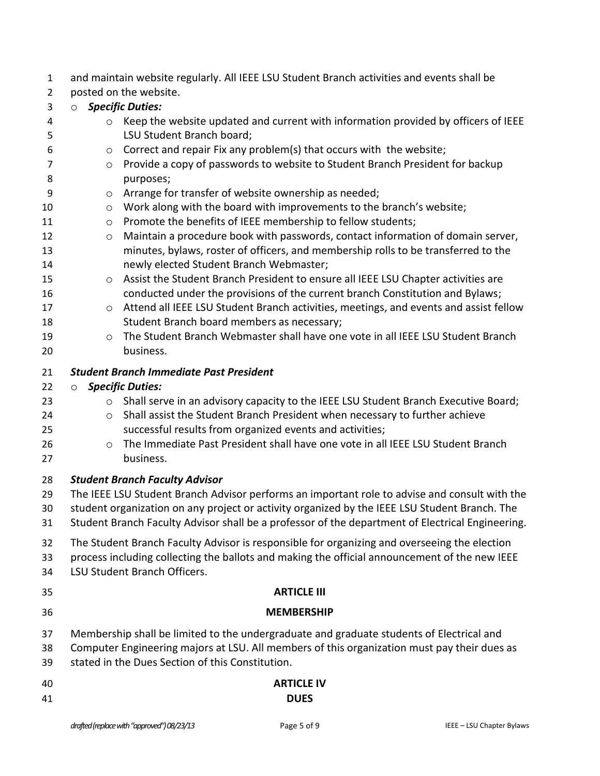and maintain website regularly. All IEEE LSU Student Branch activities and events shall be

- posted on the website.
- o *Specific Duties:*
- o Keep the website updated and current with information provided by officers of IEEE LSU Student Branch board;  $6 \qquad \circ \qquad$  Correct and repair Fix any problem(s) that occurs with the website;
- o Provide a copy of passwords to website to Student Branch President for backup 8 purposes;
- o Arrange for transfer of website ownership as needed;
- 10 o Work along with the board with improvements to the branch's website;
- 11 o Promote the benefits of IEEE membership to fellow students;
- 12 o Maintain a procedure book with passwords, contact information of domain server, minutes, bylaws, roster of officers, and membership rolls to be transferred to the newly elected Student Branch Webmaster;
- o Assist the Student Branch President to ensure all IEEE LSU Chapter activities are conducted under the provisions of the current branch Constitution and Bylaws;
- **o** Attend all IEEE LSU Student Branch activities, meetings, and events and assist fellow Student Branch board members as necessary;
- o The Student Branch Webmaster shall have one vote in all IEEE LSU Student Branch business.

### *Student Branch Immediate Past President*

### o *Specific Duties:*

- 23 o Shall serve in an advisory capacity to the IEEE LSU Student Branch Executive Board;
- 24 o Shall assist the Student Branch President when necessary to further achieve successful results from organized events and activities;
- o The Immediate Past President shall have one vote in all IEEE LSU Student Branch business.

### *Student Branch Faculty Advisor*

- The IEEE LSU Student Branch Advisor performs an important role to advise and consult with the
- student organization on any project or activity organized by the IEEE LSU Student Branch. The
- Student Branch Faculty Advisor shall be a professor of the department of Electrical Engineering.
- The Student Branch Faculty Advisor is responsible for organizing and overseeing the election
- process including collecting the ballots and making the official announcement of the new IEEE
- LSU Student Branch Officers.
- **ARTICLE III**
- 

# **MEMBERSHIP**

- Membership shall be limited to the undergraduate and graduate students of Electrical and
- Computer Engineering majors at LSU. All members of this organization must pay their dues as
- stated in the Dues Section of this Constitution.

| 40 | <b>ARTICLE IV</b> |
|----|-------------------|
| 41 | <b>DUES</b>       |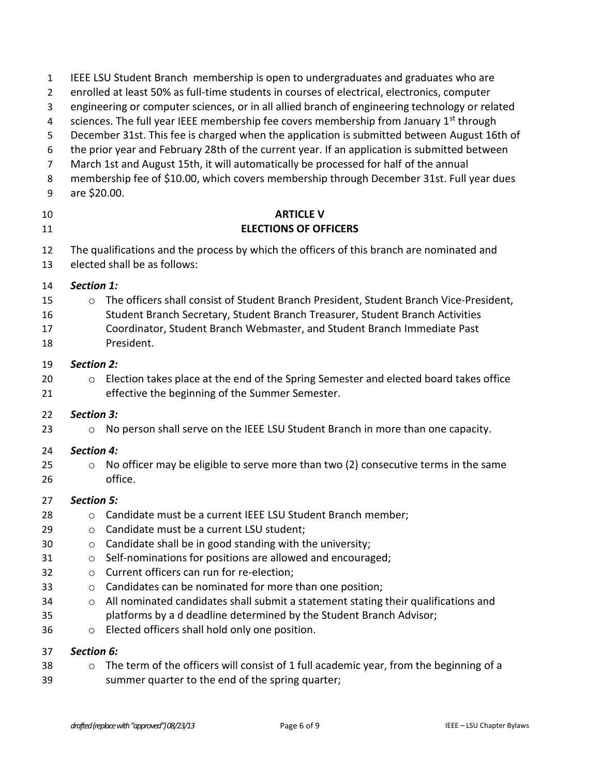| $\mathbf{1}$<br>$\overline{2}$<br>3<br>4<br>5<br>6<br>$\overline{7}$<br>8<br>9 | IEEE LSU Student Branch membership is open to undergraduates and graduates who are<br>enrolled at least 50% as full-time students in courses of electrical, electronics, computer<br>engineering or computer sciences, or in all allied branch of engineering technology or related<br>sciences. The full year IEEE membership fee covers membership from January 1 <sup>st</sup> through<br>December 31st. This fee is charged when the application is submitted between August 16th of<br>the prior year and February 28th of the current year. If an application is submitted between<br>March 1st and August 15th, it will automatically be processed for half of the annual<br>membership fee of \$10.00, which covers membership through December 31st. Full year dues<br>are \$20.00. |
|--------------------------------------------------------------------------------|----------------------------------------------------------------------------------------------------------------------------------------------------------------------------------------------------------------------------------------------------------------------------------------------------------------------------------------------------------------------------------------------------------------------------------------------------------------------------------------------------------------------------------------------------------------------------------------------------------------------------------------------------------------------------------------------------------------------------------------------------------------------------------------------|
| 10<br>11                                                                       | <b>ARTICLE V</b><br><b>ELECTIONS OF OFFICERS</b>                                                                                                                                                                                                                                                                                                                                                                                                                                                                                                                                                                                                                                                                                                                                             |
| 12<br>13                                                                       | The qualifications and the process by which the officers of this branch are nominated and<br>elected shall be as follows:                                                                                                                                                                                                                                                                                                                                                                                                                                                                                                                                                                                                                                                                    |
| 14<br>15<br>16<br>17<br>18                                                     | Section 1:<br>The officers shall consist of Student Branch President, Student Branch Vice-President,<br>$\circ$<br>Student Branch Secretary, Student Branch Treasurer, Student Branch Activities<br>Coordinator, Student Branch Webmaster, and Student Branch Immediate Past<br>President.                                                                                                                                                                                                                                                                                                                                                                                                                                                                                                   |
| 19<br>20<br>21                                                                 | <b>Section 2:</b><br>Election takes place at the end of the Spring Semester and elected board takes office<br>$\circ$<br>effective the beginning of the Summer Semester.                                                                                                                                                                                                                                                                                                                                                                                                                                                                                                                                                                                                                     |
| 22<br>23                                                                       | <b>Section 3:</b><br>No person shall serve on the IEEE LSU Student Branch in more than one capacity.<br>$\circ$                                                                                                                                                                                                                                                                                                                                                                                                                                                                                                                                                                                                                                                                              |
| 24<br>25<br>26                                                                 | <b>Section 4:</b><br>No officer may be eligible to serve more than two (2) consecutive terms in the same<br>$\circ$<br>office.                                                                                                                                                                                                                                                                                                                                                                                                                                                                                                                                                                                                                                                               |
| 27<br>28<br>29<br>30<br>31<br>32<br>33<br>34<br>35<br>36                       | <b>Section 5:</b><br>Candidate must be a current IEEE LSU Student Branch member;<br>O<br>Candidate must be a current LSU student;<br>O<br>Candidate shall be in good standing with the university;<br>$\circ$<br>Self-nominations for positions are allowed and encouraged;<br>$\circ$<br>Current officers can run for re-election;<br>O<br>Candidates can be nominated for more than one position;<br>$\circ$<br>All nominated candidates shall submit a statement stating their qualifications and<br>$\circ$<br>platforms by a d deadline determined by the Student Branch Advisor;<br>Elected officers shall hold only one position.<br>O                                                                                                                                                |
| 37<br>38                                                                       | Section 6:<br>The term of the officers will consist of 1 full academic year, from the beginning of a<br>$\circ$                                                                                                                                                                                                                                                                                                                                                                                                                                                                                                                                                                                                                                                                              |

summer quarter to the end of the spring quarter;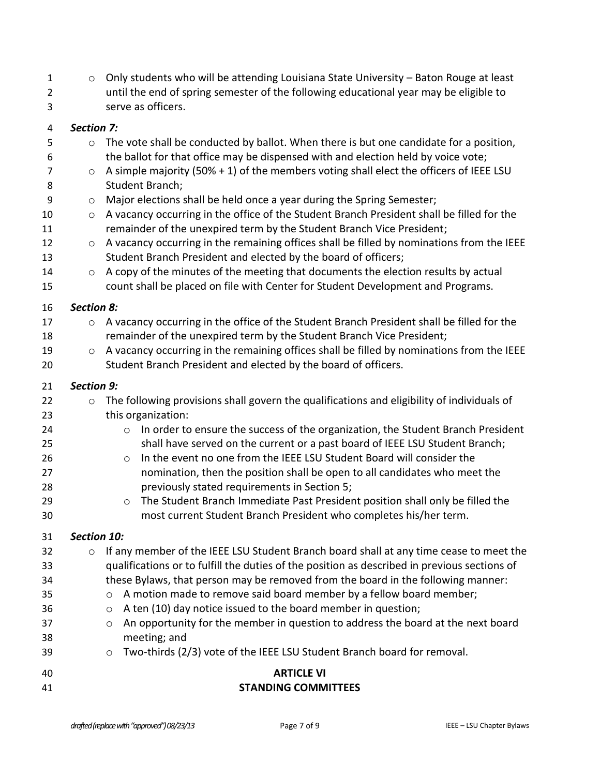$1 \circ$  Only students who will be attending Louisiana State University – Baton Rouge at least until the end of spring semester of the following educational year may be eligible to serve as officers.

5 o The vote shall be conducted by ballot. When there is but one candidate for a position,

### *Section 7:*

 the ballot for that office may be dispensed with and election held by voice vote;  $\circ$  A simple majority (50% + 1) of the members voting shall elect the officers of IEEE LSU Student Branch; o Major elections shall be held once a year during the Spring Semester; 10 o A vacancy occurring in the office of the Student Branch President shall be filled for the remainder of the unexpired term by the Student Branch Vice President; 12 o A vacancy occurring in the remaining offices shall be filled by nominations from the IEEE Student Branch President and elected by the board of officers; 14 o A copy of the minutes of the meeting that documents the election results by actual count shall be placed on file with Center for Student Development and Programs. *Section 8:* 17 o A vacancy occurring in the office of the Student Branch President shall be filled for the remainder of the unexpired term by the Student Branch Vice President; 19 o A vacancy occurring in the remaining offices shall be filled by nominations from the IEEE Student Branch President and elected by the board of officers. *Section 9:*  22 o The following provisions shall govern the qualifications and eligibility of individuals of this organization: **o** In order to ensure the success of the organization, the Student Branch President shall have served on the current or a past board of IEEE LSU Student Branch; **120 o In the event no one from the IEEE LSU Student Board will consider the**  nomination, then the position shall be open to all candidates who meet the previously stated requirements in Section 5; **b Commandiaty Commandiate Past President position shall only be filled the**  most current Student Branch President who completes his/her term. *Section 10:* o If any member of the IEEE LSU Student Branch board shall at any time cease to meet the qualifications or to fulfill the duties of the position as described in previous sections of these Bylaws, that person may be removed from the board in the following manner: o A motion made to remove said board member by a fellow board member; o A ten (10) day notice issued to the board member in question; **o** An opportunity for the member in question to address the board at the next board meeting; and 39 o Two-thirds (2/3) vote of the IEEE LSU Student Branch board for removal. **ARTICLE VI STANDING COMMITTEES**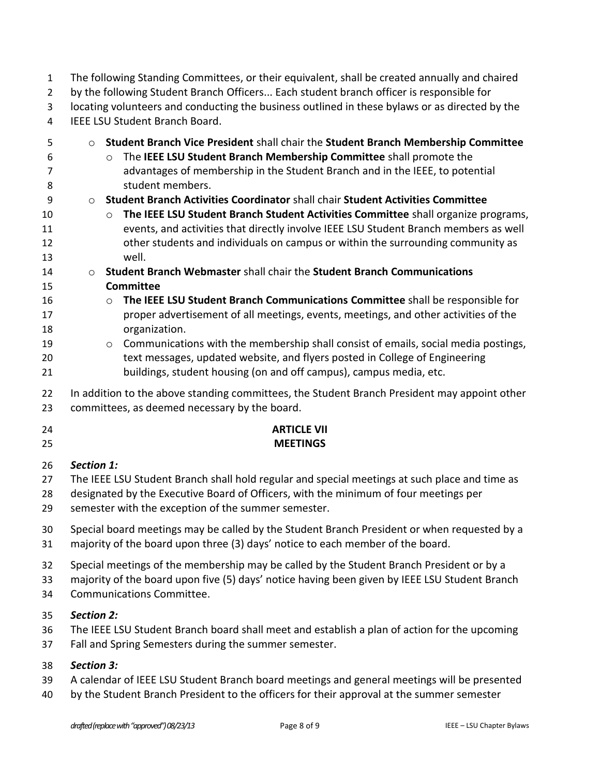The following Standing Committees, or their equivalent, shall be created annually and chaired by the following Student Branch Officers... Each student branch officer is responsible for locating volunteers and conducting the business outlined in these bylaws or as directed by the IEEE LSU Student Branch Board.

- o **Student Branch Vice President** shall chair the **Student Branch Membership Committee** o The **IEEE LSU Student Branch Membership Committee** shall promote the advantages of membership in the Student Branch and in the IEEE, to potential student members. o **Student Branch Activities Coordinator** shall chair **Student Activities Committee** o **The IEEE LSU Student Branch Student Activities Committee** shall organize programs, events, and activities that directly involve IEEE LSU Student Branch members as well other students and individuals on campus or within the surrounding community as well. o **Student Branch Webmaster** shall chair the **Student Branch Communications Committee** o **The IEEE LSU Student Branch Communications Committee** shall be responsible for proper advertisement of all meetings, events, meetings, and other activities of the organization. o Communications with the membership shall consist of emails, social media postings, text messages, updated website, and flyers posted in College of Engineering buildings, student housing (on and off campus), campus media, etc. 22 In addition to the above standing committees, the Student Branch President may appoint other committees, as deemed necessary by the board. **ARTICLE VII MEETINGS** *Section 1:* The IEEE LSU Student Branch shall hold regular and special meetings at such place and time as designated by the Executive Board of Officers, with the minimum of four meetings per semester with the exception of the summer semester. Special board meetings may be called by the Student Branch President or when requested by a majority of the board upon three (3) days' notice to each member of the board. Special meetings of the membership may be called by the Student Branch President or by a
- majority of the board upon five (5) days' notice having been given by IEEE LSU Student Branch
- Communications Committee.

## *Section 2:*

- The IEEE LSU Student Branch board shall meet and establish a plan of action for the upcoming
- Fall and Spring Semesters during the summer semester.

## *Section 3:*

- A calendar of IEEE LSU Student Branch board meetings and general meetings will be presented
- 40 by the Student Branch President to the officers for their approval at the summer semester